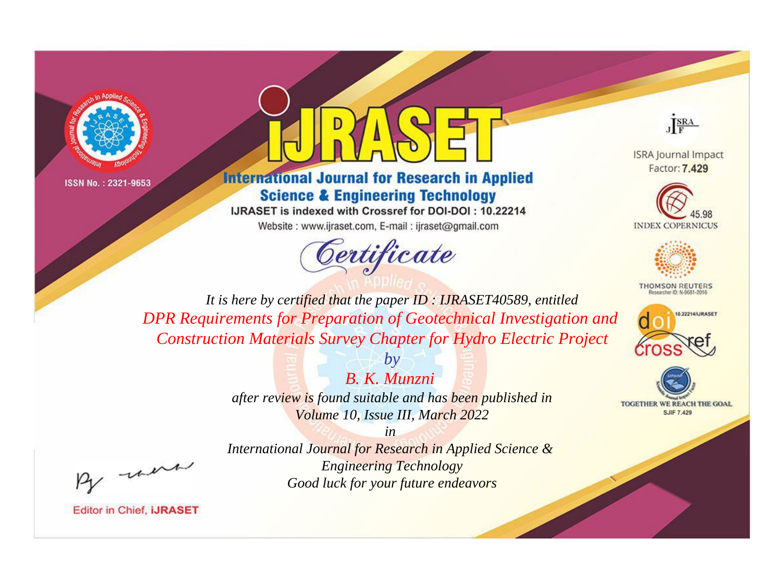



**International Journal for Research in Applied Science & Engineering Technology** 

IJRASET is indexed with Crossref for DOI-DOI: 10.22214 Website: www.ijraset.com, E-mail: ijraset@gmail.com



JERA

**ISRA Journal Impact** Factor: 7.429





**THOMSON REUTERS** 



TOGETHER WE REACH THE GOAL **SJIF 7.429** 

*It is here by certified that the paper ID : IJRASET40589, entitled DPR Requirements for Preparation of Geotechnical Investigation and Construction Materials Survey Chapter for Hydro Electric Project*

> *B. K. Munzni after review is found suitable and has been published in Volume 10, Issue III, March 2022*

*by*

*in International Journal for Research in Applied Science & Engineering Technology Good luck for your future endeavors*

, un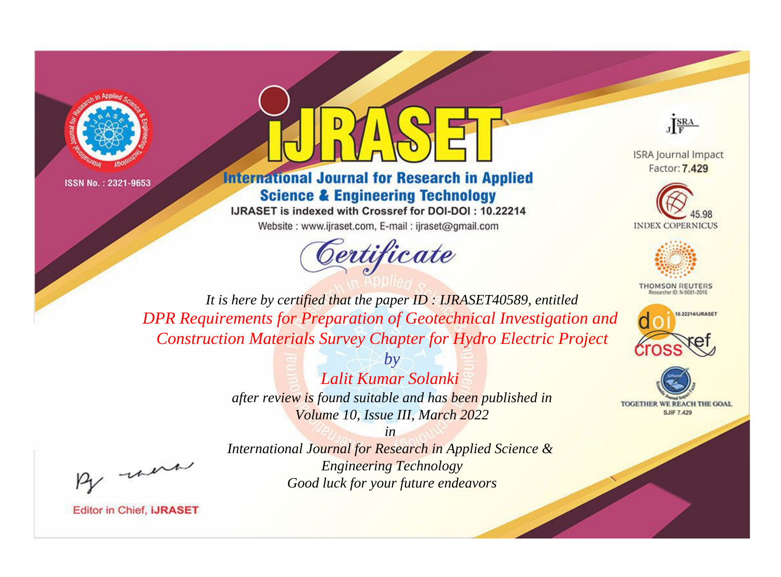



**International Journal for Research in Applied Science & Engineering Technology** 

IJRASET is indexed with Crossref for DOI-DOI: 10.22214 Website: www.ijraset.com, E-mail: ijraset@gmail.com





**ISRA Journal Impact** Factor: 7.429





**THOMSON REUTERS** 



TOGETHER WE REACH THE GOAL **SJIF 7.429** 

*It is here by certified that the paper ID : IJRASET40589, entitled DPR Requirements for Preparation of Geotechnical Investigation and Construction Materials Survey Chapter for Hydro Electric Project*

> *by Lalit Kumar Solanki after review is found suitable and has been published in Volume 10, Issue III, March 2022*

, un

*International Journal for Research in Applied Science & Engineering Technology Good luck for your future endeavors*

*in*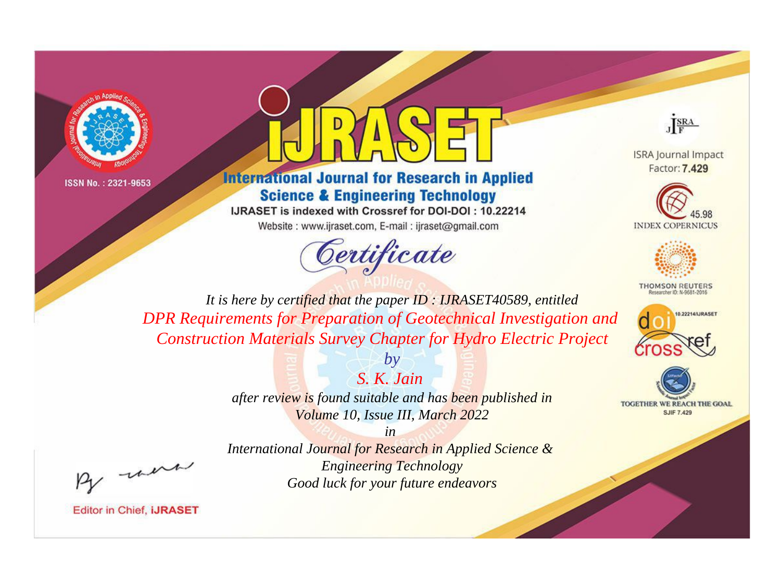



**International Journal for Research in Applied Science & Engineering Technology** 

IJRASET is indexed with Crossref for DOI-DOI: 10.22214 Website: www.ijraset.com, E-mail: ijraset@gmail.com



JERA

**ISRA Journal Impact** Factor: 7.429





**THOMSON REUTERS** 



TOGETHER WE REACH THE GOAL **SJIF 7.429** 

It is here by certified that the paper ID: IJRASET40589, entitled DPR Requirements for Preparation of Geotechnical Investigation and **Construction Materials Survey Chapter for Hydro Electric Project** 

> after review is found suitable and has been published in Volume 10, Issue III, March 2022

> > $in$

 $b\nu$ 

 $S$   $K$   $Jain$ 

International Journal for Research in Applied Science & **Engineering Technology** Good luck for your future endeavors

were